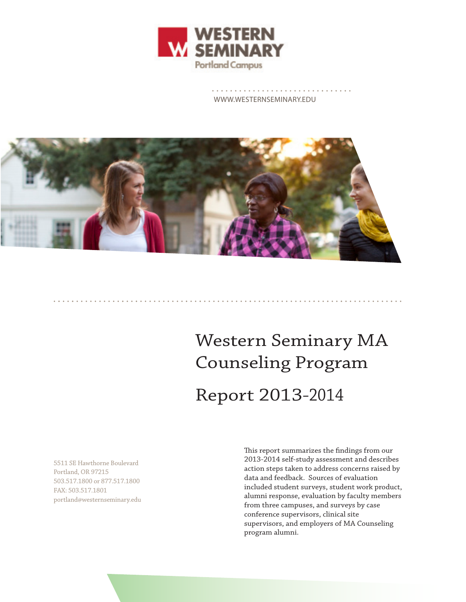

WWW.WESTERNSEMINARY.EDU



# Western Seminary MA Counseling Program Report 2013-2014

5511 SE Hawthorne Boulevard Portland, OR 97215 503.517.1800 or 877.517.1800 FAX: 503.517.1801 portland@westernseminary.edu This report summarizes the findings from our 2013-2014 self-study assessment and describes action steps taken to address concerns raised by data and feedback. Sources of evaluation included student surveys, student work product, alumni response, evaluation by faculty members from three campuses, and surveys by case conference supervisors, clinical site supervisors, and employers of MA Counseling program alumni.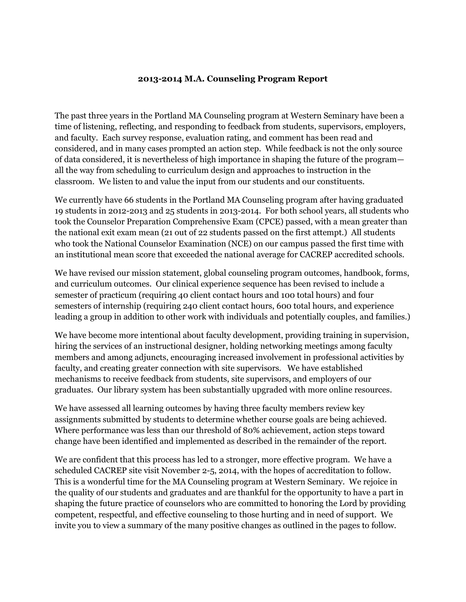#### **2013-2014 M.A. Counseling Program Report**

The past three years in the Portland MA Counseling program at Western Seminary have been a time of listening, reflecting, and responding to feedback from students, supervisors, employers, and faculty. Each survey response, evaluation rating, and comment has been read and considered, and in many cases prompted an action step. While feedback is not the only source of data considered, it is nevertheless of high importance in shaping the future of the program all the way from scheduling to curriculum design and approaches to instruction in the classroom. We listen to and value the input from our students and our constituents.

We currently have 66 students in the Portland MA Counseling program after having graduated 19 students in 2012-2013 and 25 students in 2013-2014. For both school years, all students who took the Counselor Preparation Comprehensive Exam (CPCE) passed, with a mean greater than the national exit exam mean (21 out of 22 students passed on the first attempt.) All students who took the National Counselor Examination (NCE) on our campus passed the first time with an institutional mean score that exceeded the national average for CACREP accredited schools.

We have revised our mission statement, global counseling program outcomes, handbook, forms, and curriculum outcomes. Our clinical experience sequence has been revised to include a semester of practicum (requiring 40 client contact hours and 100 total hours) and four semesters of internship (requiring 240 client contact hours, 600 total hours, and experience leading a group in addition to other work with individuals and potentially couples, and families.)

We have become more intentional about faculty development, providing training in supervision, hiring the services of an instructional designer, holding networking meetings among faculty members and among adjuncts, encouraging increased involvement in professional activities by faculty, and creating greater connection with site supervisors. We have established mechanisms to receive feedback from students, site supervisors, and employers of our graduates. Our library system has been substantially upgraded with more online resources.

We have assessed all learning outcomes by having three faculty members review key assignments submitted by students to determine whether course goals are being achieved. Where performance was less than our threshold of 80% achievement, action steps toward change have been identified and implemented as described in the remainder of the report.

We are confident that this process has led to a stronger, more effective program. We have a scheduled CACREP site visit November 2-5, 2014, with the hopes of accreditation to follow. This is a wonderful time for the MA Counseling program at Western Seminary. We rejoice in the quality of our students and graduates and are thankful for the opportunity to have a part in shaping the future practice of counselors who are committed to honoring the Lord by providing competent, respectful, and effective counseling to those hurting and in need of support. We invite you to view a summary of the many positive changes as outlined in the pages to follow.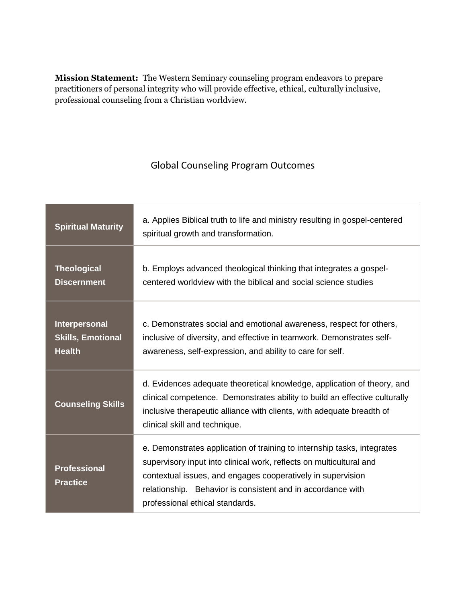**Mission Statement:** The Western Seminary counseling program endeavors to prepare practitioners of personal integrity who will provide effective, ethical, culturally inclusive, professional counseling from a Christian worldview.

### Global Counseling Program Outcomes

| <b>Spiritual Maturity</b>                                  | a. Applies Biblical truth to life and ministry resulting in gospel-centered<br>spiritual growth and transformation.                                                                                                                                                                                             |
|------------------------------------------------------------|-----------------------------------------------------------------------------------------------------------------------------------------------------------------------------------------------------------------------------------------------------------------------------------------------------------------|
| <b>Theological</b><br><b>Discernment</b>                   | b. Employs advanced theological thinking that integrates a gospel-<br>centered worldview with the biblical and social science studies                                                                                                                                                                           |
| Interpersonal<br><b>Skills, Emotional</b><br><b>Health</b> | c. Demonstrates social and emotional awareness, respect for others,<br>inclusive of diversity, and effective in teamwork. Demonstrates self-<br>awareness, self-expression, and ability to care for self.                                                                                                       |
| <b>Counseling Skills</b>                                   | d. Evidences adequate theoretical knowledge, application of theory, and<br>clinical competence. Demonstrates ability to build an effective culturally<br>inclusive therapeutic alliance with clients, with adequate breadth of<br>clinical skill and technique.                                                 |
| <b>Professional</b><br><b>Practice</b>                     | e. Demonstrates application of training to internship tasks, integrates<br>supervisory input into clinical work, reflects on multicultural and<br>contextual issues, and engages cooperatively in supervision<br>relationship. Behavior is consistent and in accordance with<br>professional ethical standards. |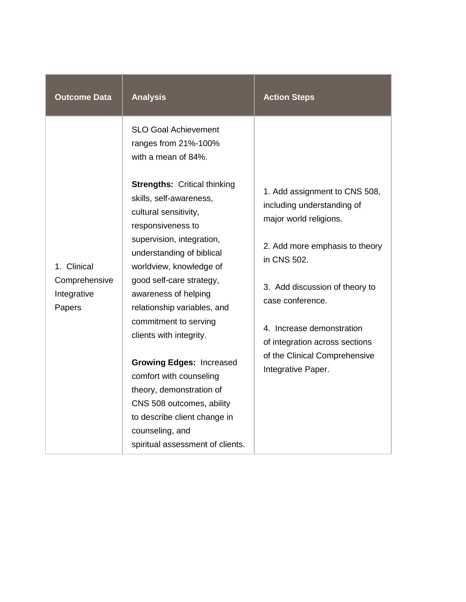| <b>Outcome Data</b>                                   | <b>Analysis</b>                                                                                                   | <b>Action Steps</b>                                                                   |
|-------------------------------------------------------|-------------------------------------------------------------------------------------------------------------------|---------------------------------------------------------------------------------------|
|                                                       | <b>SLO Goal Achievement</b><br>ranges from 21%-100%<br>with a mean of 84%.<br><b>Strengths: Critical thinking</b> |                                                                                       |
|                                                       | skills, self-awareness,<br>cultural sensitivity,<br>responsiveness to                                             | 1. Add assignment to CNS 508,<br>including understanding of<br>major world religions. |
| 1. Clinical<br>Comprehensive<br>Integrative<br>Papers | supervision, integration,<br>understanding of biblical<br>worldview, knowledge of                                 | 2. Add more emphasis to theory<br>in CNS 502.                                         |
|                                                       | good self-care strategy,<br>awareness of helping<br>relationship variables, and                                   | 3. Add discussion of theory to<br>case conference.                                    |
|                                                       | commitment to serving<br>clients with integrity.                                                                  | 4. Increase demonstration<br>of integration across sections                           |
|                                                       | <b>Growing Edges: Increased</b><br>comfort with counseling                                                        | of the Clinical Comprehensive<br>Integrative Paper.                                   |
|                                                       | theory, demonstration of<br>CNS 508 outcomes, ability<br>to describe client change in                             |                                                                                       |
|                                                       | counseling, and<br>spiritual assessment of clients.                                                               |                                                                                       |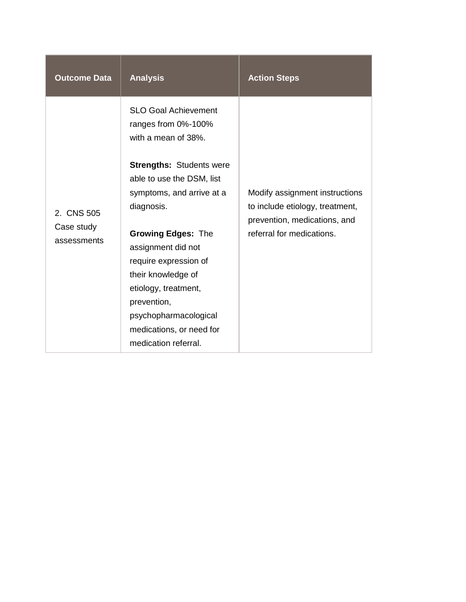| <b>Outcome Data</b>                     | <b>Analysis</b>                                                                                                                                                                                                                                                                        | <b>Action Steps</b>                                                                                                            |
|-----------------------------------------|----------------------------------------------------------------------------------------------------------------------------------------------------------------------------------------------------------------------------------------------------------------------------------------|--------------------------------------------------------------------------------------------------------------------------------|
| 2. CNS 505<br>Case study<br>assessments | <b>SLO Goal Achievement</b><br>ranges from 0%-100%<br>with a mean of 38%.<br><b>Strengths: Students were</b><br>able to use the DSM, list<br>symptoms, and arrive at a<br>diagnosis.<br><b>Growing Edges: The</b><br>assignment did not<br>require expression of<br>their knowledge of | Modify assignment instructions<br>to include etiology, treatment,<br>prevention, medications, and<br>referral for medications. |
|                                         | etiology, treatment,<br>prevention,<br>psychopharmacological<br>medications, or need for<br>medication referral.                                                                                                                                                                       |                                                                                                                                |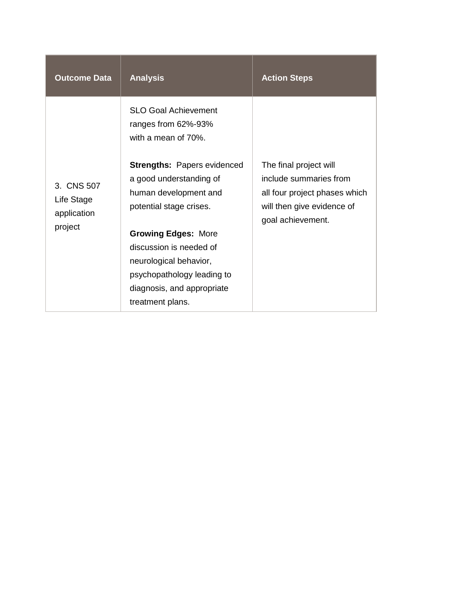| <b>Outcome Data</b>                                | <b>Analysis</b>                                                                                                   | <b>Action Steps</b>                                                                                                                  |
|----------------------------------------------------|-------------------------------------------------------------------------------------------------------------------|--------------------------------------------------------------------------------------------------------------------------------------|
|                                                    | <b>SLO Goal Achievement</b><br>ranges from 62%-93%<br>with a mean of 70%.                                         |                                                                                                                                      |
| 3. CNS 507<br>Life Stage<br>application<br>project | <b>Strengths: Papers evidenced</b><br>a good understanding of<br>human development and<br>potential stage crises. | The final project will<br>include summaries from<br>all four project phases which<br>will then give evidence of<br>goal achievement. |
|                                                    | <b>Growing Edges: More</b><br>discussion is needed of                                                             |                                                                                                                                      |
|                                                    | neurological behavior,<br>psychopathology leading to<br>diagnosis, and appropriate<br>treatment plans.            |                                                                                                                                      |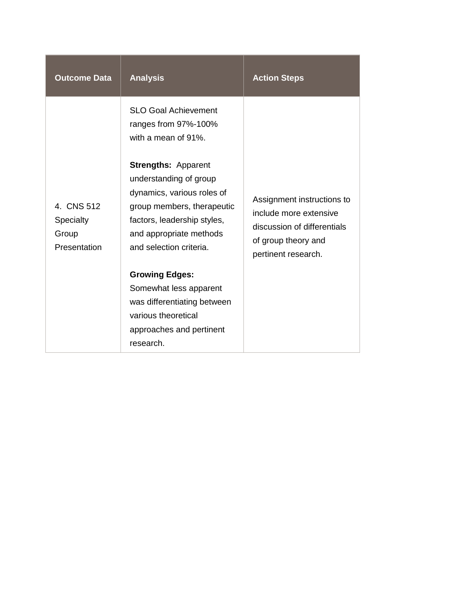| <b>Outcome Data</b>                                     | <b>Analysis</b>                                                                                                                                                                                                                                                                     | <b>Action Steps</b>                                                                                        |
|---------------------------------------------------------|-------------------------------------------------------------------------------------------------------------------------------------------------------------------------------------------------------------------------------------------------------------------------------------|------------------------------------------------------------------------------------------------------------|
| 4. CNS 512<br><b>Specialty</b><br>Group<br>Presentation | <b>SLO Goal Achievement</b><br>ranges from 97%-100%<br>with a mean of 91%.<br><b>Strengths: Apparent</b><br>understanding of group<br>dynamics, various roles of<br>group members, therapeutic<br>factors, leadership styles,<br>and appropriate methods<br>and selection criteria. | Assignment instructions to<br>include more extensive<br>discussion of differentials<br>of group theory and |
|                                                         | <b>Growing Edges:</b><br>Somewhat less apparent<br>was differentiating between<br>various theoretical<br>approaches and pertinent<br>research.                                                                                                                                      | pertinent research.                                                                                        |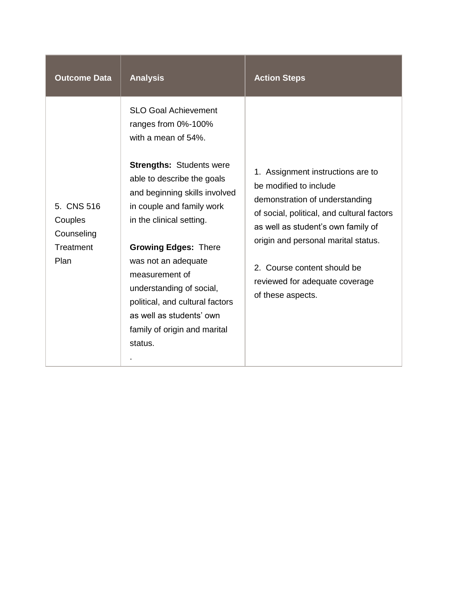| <b>Outcome Data</b>                                      | <b>Analysis</b>                                                                                                                                                                                                                                                                                                                                                                                                                                    | <b>Action Steps</b>                                                                                                                                                                                                                                                                                            |
|----------------------------------------------------------|----------------------------------------------------------------------------------------------------------------------------------------------------------------------------------------------------------------------------------------------------------------------------------------------------------------------------------------------------------------------------------------------------------------------------------------------------|----------------------------------------------------------------------------------------------------------------------------------------------------------------------------------------------------------------------------------------------------------------------------------------------------------------|
| 5. CNS 516<br>Couples<br>Counseling<br>Treatment<br>Plan | <b>SLO Goal Achievement</b><br>ranges from 0%-100%<br>with a mean of 54%.<br><b>Strengths: Students were</b><br>able to describe the goals<br>and beginning skills involved<br>in couple and family work<br>in the clinical setting.<br><b>Growing Edges: There</b><br>was not an adequate<br>measurement of<br>understanding of social,<br>political, and cultural factors<br>as well as students' own<br>family of origin and marital<br>status. | 1. Assignment instructions are to<br>be modified to include<br>demonstration of understanding<br>of social, political, and cultural factors<br>as well as student's own family of<br>origin and personal marital status.<br>2. Course content should be<br>reviewed for adequate coverage<br>of these aspects. |
|                                                          |                                                                                                                                                                                                                                                                                                                                                                                                                                                    |                                                                                                                                                                                                                                                                                                                |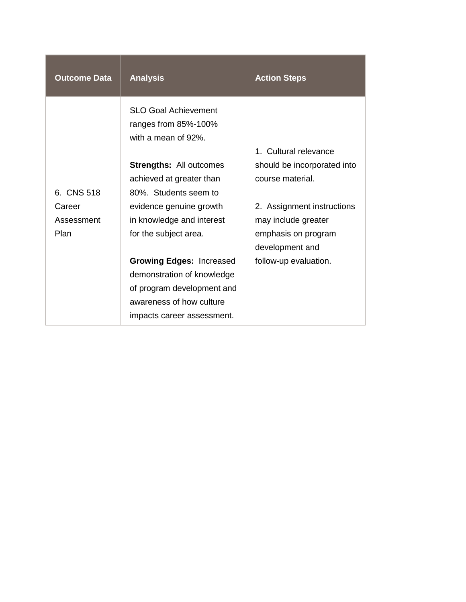| <b>Outcome Data</b>  | <b>Analysis</b>                                                                                                                                       | <b>Action Steps</b>                               |
|----------------------|-------------------------------------------------------------------------------------------------------------------------------------------------------|---------------------------------------------------|
|                      | <b>SLO Goal Achievement</b><br>ranges from 85%-100%<br>with a mean of 92%.                                                                            | 1. Cultural relevance                             |
| 6. CNS 518           | <b>Strengths: All outcomes</b><br>achieved at greater than<br>80%. Students seem to                                                                   | should be incorporated into<br>course material.   |
| Career<br>Assessment | evidence genuine growth<br>in knowledge and interest                                                                                                  | 2. Assignment instructions<br>may include greater |
| Plan                 | for the subject area.                                                                                                                                 | emphasis on program<br>development and            |
|                      | <b>Growing Edges: Increased</b><br>demonstration of knowledge<br>of program development and<br>awareness of how culture<br>impacts career assessment. | follow-up evaluation.                             |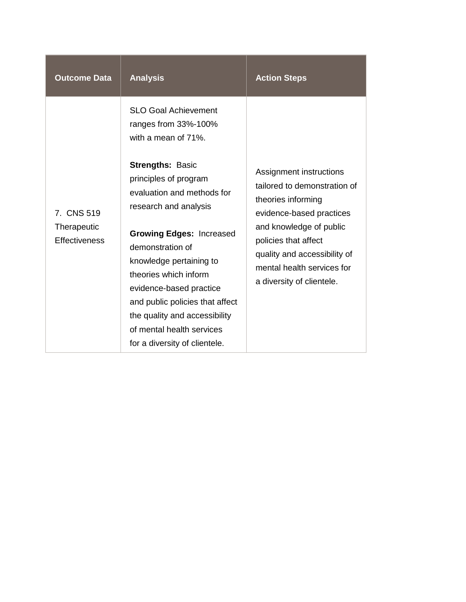| <b>Outcome Data</b>                               | <b>Analysis</b>                                                                                                                                                                                                                                                                                                                                                                 | <b>Action Steps</b>                                                                                                                                                                                                                                     |
|---------------------------------------------------|---------------------------------------------------------------------------------------------------------------------------------------------------------------------------------------------------------------------------------------------------------------------------------------------------------------------------------------------------------------------------------|---------------------------------------------------------------------------------------------------------------------------------------------------------------------------------------------------------------------------------------------------------|
|                                                   | <b>SLO Goal Achievement</b><br>ranges from 33%-100%<br>with a mean of 71%.                                                                                                                                                                                                                                                                                                      |                                                                                                                                                                                                                                                         |
| 7. CNS 519<br>Therapeutic<br><b>Effectiveness</b> | <b>Strengths: Basic</b><br>principles of program<br>evaluation and methods for<br>research and analysis<br><b>Growing Edges: Increased</b><br>demonstration of<br>knowledge pertaining to<br>theories which inform<br>evidence-based practice<br>and public policies that affect<br>the quality and accessibility<br>of mental health services<br>for a diversity of clientele. | Assignment instructions<br>tailored to demonstration of<br>theories informing<br>evidence-based practices<br>and knowledge of public<br>policies that affect<br>quality and accessibility of<br>mental health services for<br>a diversity of clientele. |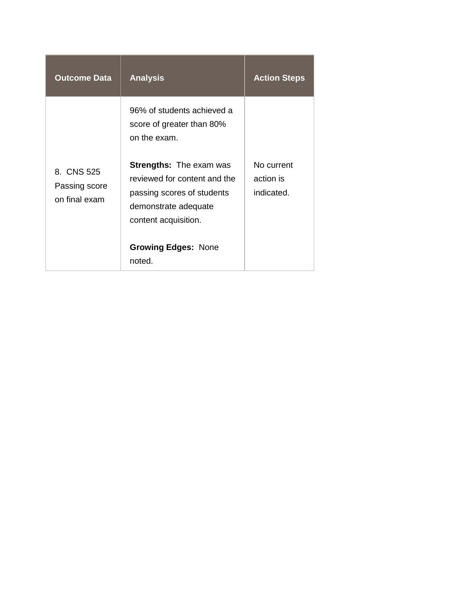| <b>Outcome Data</b>                          | <b>Analysis</b>                                                                                                                                                                      | <b>Action Steps</b>                   |
|----------------------------------------------|--------------------------------------------------------------------------------------------------------------------------------------------------------------------------------------|---------------------------------------|
|                                              | 96% of students achieved a<br>score of greater than 80%<br>on the exam.                                                                                                              |                                       |
| 8. CNS 525<br>Passing score<br>on final exam | <b>Strengths:</b> The exam was<br>reviewed for content and the<br>passing scores of students<br>demonstrate adequate<br>content acquisition.<br><b>Growing Edges: None</b><br>noted. | No current<br>action is<br>indicated. |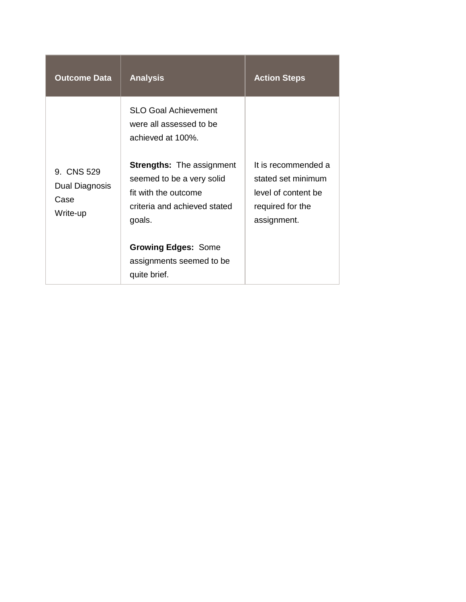| <b>Outcome Data</b>                              | <b>Analysis</b>                                                                                                                 | <b>Action Steps</b>                                                                                 |
|--------------------------------------------------|---------------------------------------------------------------------------------------------------------------------------------|-----------------------------------------------------------------------------------------------------|
|                                                  | <b>SLO Goal Achievement</b><br>were all assessed to be<br>achieved at 100%.                                                     |                                                                                                     |
| 9. CNS 529<br>Dual Diagnosis<br>Case<br>Write-up | <b>Strengths:</b> The assignment<br>seemed to be a very solid<br>fit with the outcome<br>criteria and achieved stated<br>goals. | It is recommended a<br>stated set minimum<br>level of content be<br>required for the<br>assignment. |
|                                                  | <b>Growing Edges: Some</b><br>assignments seemed to be<br>quite brief.                                                          |                                                                                                     |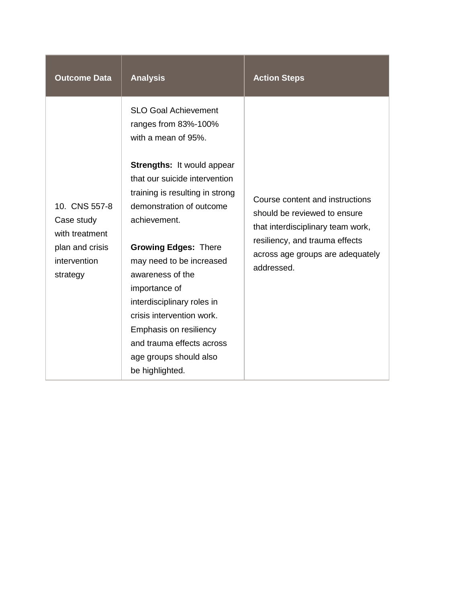| <b>Outcome Data</b>                                                                          | <b>Analysis</b>                                                                                                                                                                                                                                                                                                                                                                                                      | <b>Action Steps</b>                                                                                                                                                                      |
|----------------------------------------------------------------------------------------------|----------------------------------------------------------------------------------------------------------------------------------------------------------------------------------------------------------------------------------------------------------------------------------------------------------------------------------------------------------------------------------------------------------------------|------------------------------------------------------------------------------------------------------------------------------------------------------------------------------------------|
| 10. CNS 557-8<br>Case study<br>with treatment<br>plan and crisis<br>intervention<br>strategy | <b>SLO Goal Achievement</b><br>ranges from 83%-100%<br>with a mean of 95%.<br><b>Strengths: It would appear</b><br>that our suicide intervention<br>training is resulting in strong<br>demonstration of outcome<br>achievement.<br><b>Growing Edges: There</b><br>may need to be increased<br>awareness of the<br>importance of<br>interdisciplinary roles in<br>crisis intervention work.<br>Emphasis on resiliency | Course content and instructions<br>should be reviewed to ensure<br>that interdisciplinary team work,<br>resiliency, and trauma effects<br>across age groups are adequately<br>addressed. |
|                                                                                              | and trauma effects across<br>age groups should also<br>be highlighted.                                                                                                                                                                                                                                                                                                                                               |                                                                                                                                                                                          |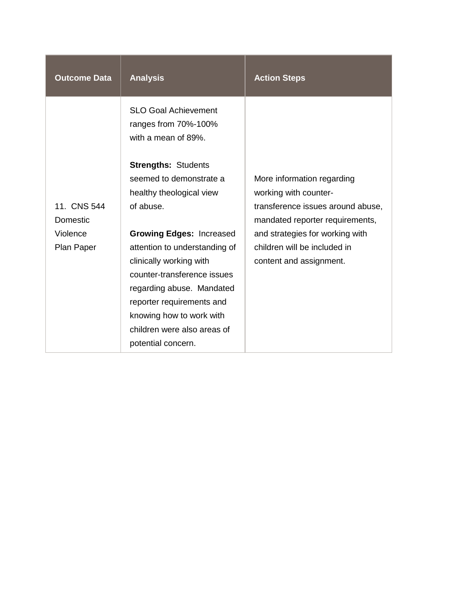| <b>Outcome Data</b>     | <b>Analysis</b>                                                                                                                                                                                                                                                       | <b>Action Steps</b>                                                                                                         |
|-------------------------|-----------------------------------------------------------------------------------------------------------------------------------------------------------------------------------------------------------------------------------------------------------------------|-----------------------------------------------------------------------------------------------------------------------------|
|                         | <b>SLO Goal Achievement</b><br>ranges from 70%-100%<br>with a mean of 89%.<br><b>Strengths: Students</b>                                                                                                                                                              |                                                                                                                             |
| 11. CNS 544<br>Domestic | seemed to demonstrate a<br>healthy theological view<br>of abuse.                                                                                                                                                                                                      | More information regarding<br>working with counter-<br>transference issues around abuse,<br>mandated reporter requirements, |
| Violence<br>Plan Paper  | <b>Growing Edges: Increased</b><br>attention to understanding of<br>clinically working with<br>counter-transference issues<br>regarding abuse. Mandated<br>reporter requirements and<br>knowing how to work with<br>children were also areas of<br>potential concern. | and strategies for working with<br>children will be included in<br>content and assignment.                                  |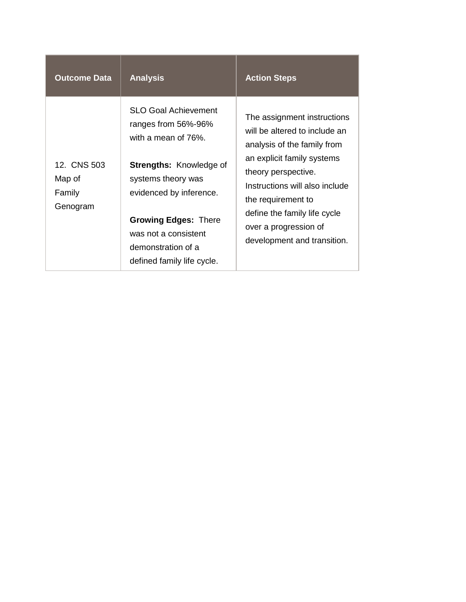| <b>Outcome Data</b>                         | <b>Analysis</b>                                                                                                                                                                            | <b>Action Steps</b>                                                                                                                                                                               |
|---------------------------------------------|--------------------------------------------------------------------------------------------------------------------------------------------------------------------------------------------|---------------------------------------------------------------------------------------------------------------------------------------------------------------------------------------------------|
|                                             | <b>SLO Goal Achievement</b><br>ranges from 56%-96%<br>with a mean of 76%.                                                                                                                  | The assignment instructions<br>will be altered to include an<br>analysis of the family from                                                                                                       |
| 12. CNS 503<br>Map of<br>Family<br>Genogram | <b>Strengths: Knowledge of</b><br>systems theory was<br>evidenced by inference.<br><b>Growing Edges: There</b><br>was not a consistent<br>demonstration of a<br>defined family life cycle. | an explicit family systems<br>theory perspective.<br>Instructions will also include<br>the requirement to<br>define the family life cycle<br>over a progression of<br>development and transition. |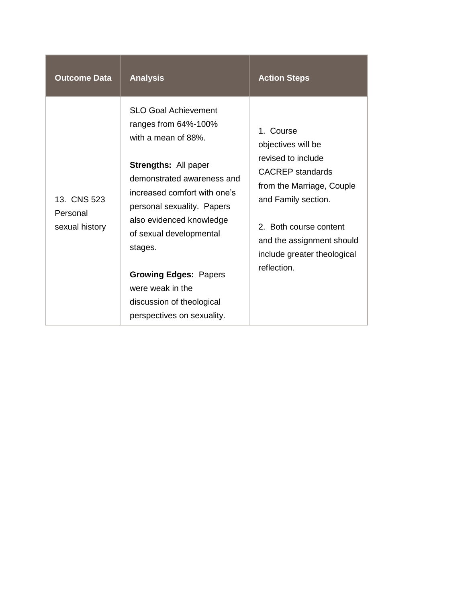| <b>Outcome Data</b>                       | <b>Analysis</b>                                                                                                                                                                                                                                                                                                                                                                        | <b>Action Steps</b>                                                                                                                                                                                                                       |
|-------------------------------------------|----------------------------------------------------------------------------------------------------------------------------------------------------------------------------------------------------------------------------------------------------------------------------------------------------------------------------------------------------------------------------------------|-------------------------------------------------------------------------------------------------------------------------------------------------------------------------------------------------------------------------------------------|
| 13. CNS 523<br>Personal<br>sexual history | <b>SLO Goal Achievement</b><br>ranges from 64%-100%<br>with a mean of 88%.<br><b>Strengths: All paper</b><br>demonstrated awareness and<br>increased comfort with one's<br>personal sexuality. Papers<br>also evidenced knowledge<br>of sexual developmental<br>stages.<br><b>Growing Edges: Papers</b><br>were weak in the<br>discussion of theological<br>perspectives on sexuality. | 1. Course<br>objectives will be<br>revised to include<br><b>CACREP</b> standards<br>from the Marriage, Couple<br>and Family section.<br>2. Both course content<br>and the assignment should<br>include greater theological<br>reflection. |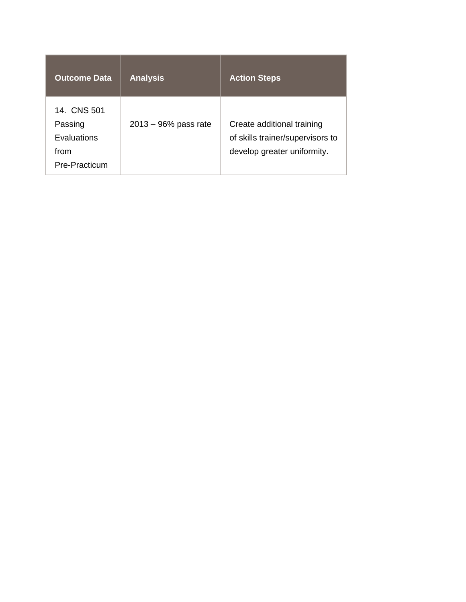| <b>Outcome Data</b>                                            | <b>Analysis</b>         | <b>Action Steps</b>                                                                           |
|----------------------------------------------------------------|-------------------------|-----------------------------------------------------------------------------------------------|
| 14. CNS 501<br>Passing<br>Evaluations<br>from<br>Pre-Practicum | $2013 - 96\%$ pass rate | Create additional training<br>of skills trainer/supervisors to<br>develop greater uniformity. |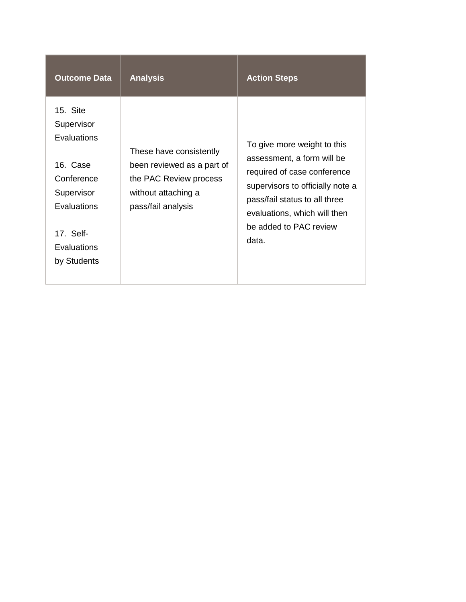| <b>Outcome Data</b>                                                                                                                     | <b>Analysis</b>                                                                                                              | <b>Action Steps</b>                                                                                                                                                                                                              |
|-----------------------------------------------------------------------------------------------------------------------------------------|------------------------------------------------------------------------------------------------------------------------------|----------------------------------------------------------------------------------------------------------------------------------------------------------------------------------------------------------------------------------|
| 15. Site<br>Supervisor<br>Evaluations<br>16. Case<br>Conference<br>Supervisor<br>Evaluations<br>17. Self-<br>Evaluations<br>by Students | These have consistently<br>been reviewed as a part of<br>the PAC Review process<br>without attaching a<br>pass/fail analysis | To give more weight to this<br>assessment, a form will be<br>required of case conference<br>supervisors to officially note a<br>pass/fail status to all three<br>evaluations, which will then<br>be added to PAC review<br>data. |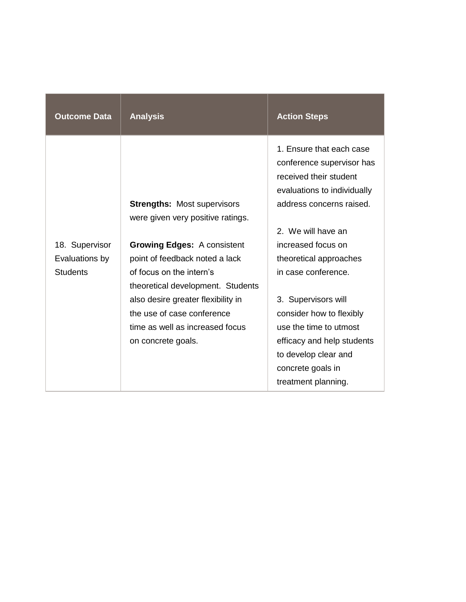| <b>Outcome Data</b> | <b>Analysis</b>                    | <b>Action Steps</b>                                                                                                                        |
|---------------------|------------------------------------|--------------------------------------------------------------------------------------------------------------------------------------------|
|                     | <b>Strengths: Most supervisors</b> | 1. Ensure that each case<br>conference supervisor has<br>received their student<br>evaluations to individually<br>address concerns raised. |
|                     | were given very positive ratings.  |                                                                                                                                            |
|                     |                                    | 2. We will have an                                                                                                                         |
| 18. Supervisor      | <b>Growing Edges: A consistent</b> | increased focus on                                                                                                                         |
| Evaluations by      | point of feedback noted a lack     | theoretical approaches                                                                                                                     |
| <b>Students</b>     | of focus on the intern's           | in case conference.                                                                                                                        |
|                     | theoretical development. Students  |                                                                                                                                            |
|                     | also desire greater flexibility in | 3. Supervisors will                                                                                                                        |
|                     | the use of case conference         | consider how to flexibly                                                                                                                   |
|                     | time as well as increased focus    | use the time to utmost                                                                                                                     |
|                     | on concrete goals.                 | efficacy and help students                                                                                                                 |
|                     |                                    | to develop clear and                                                                                                                       |
|                     |                                    | concrete goals in                                                                                                                          |
|                     |                                    | treatment planning.                                                                                                                        |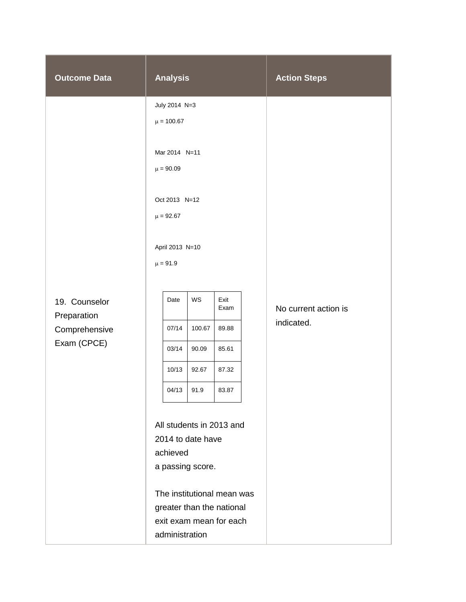| <b>Outcome Data</b>          | <b>Analysis</b>                                                                                     |        |              |  | <b>Action Steps</b>  |
|------------------------------|-----------------------------------------------------------------------------------------------------|--------|--------------|--|----------------------|
|                              | July 2014 N=3                                                                                       |        |              |  |                      |
|                              | $\mu = 100.67$                                                                                      |        |              |  |                      |
|                              | Mar 2014 N=11<br>$\mu = 90.09$<br>Oct 2013 N=12<br>$\mu = 92.67$<br>April 2013 N=10<br>$\mu = 91.9$ |        |              |  |                      |
|                              |                                                                                                     |        |              |  |                      |
| 19. Counselor                | Date                                                                                                | WS     | Exit<br>Exam |  | No current action is |
| Preparation                  |                                                                                                     |        |              |  | indicated.           |
| Comprehensive<br>Exam (CPCE) | 07/14                                                                                               | 100.67 | 89.88        |  |                      |
|                              | 03/14                                                                                               | 90.09  | 85.61        |  |                      |
|                              | 10/13                                                                                               | 92.67  | 87.32        |  |                      |
|                              | 04/13                                                                                               | 91.9   | 83.87        |  |                      |
|                              |                                                                                                     |        |              |  |                      |
|                              | All students in 2013 and                                                                            |        |              |  |                      |
|                              | 2014 to date have                                                                                   |        |              |  |                      |
|                              | achieved                                                                                            |        |              |  |                      |
|                              | a passing score.                                                                                    |        |              |  |                      |
|                              | The institutional mean was                                                                          |        |              |  |                      |
|                              | greater than the national                                                                           |        |              |  |                      |
|                              | exit exam mean for each                                                                             |        |              |  |                      |
|                              | administration                                                                                      |        |              |  |                      |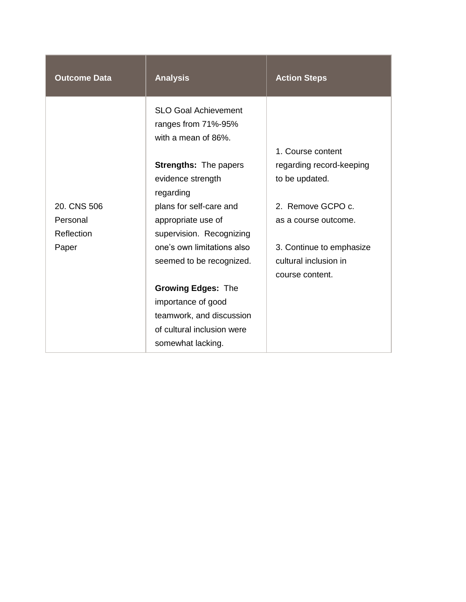| <b>Outcome Data</b> | <b>Analysis</b>                                                           | <b>Action Steps</b>      |
|---------------------|---------------------------------------------------------------------------|--------------------------|
|                     | <b>SLO Goal Achievement</b><br>ranges from 71%-95%<br>with a mean of 86%. | 1. Course content        |
|                     | <b>Strengths: The papers</b>                                              | regarding record-keeping |
|                     | evidence strength<br>regarding                                            | to be updated.           |
| 20. CNS 506         | plans for self-care and                                                   | 2. Remove GCPO c.        |
| Personal            | appropriate use of                                                        | as a course outcome.     |
| Reflection          | supervision. Recognizing                                                  |                          |
| Paper               | one's own limitations also                                                | 3. Continue to emphasize |
|                     | seemed to be recognized.                                                  | cultural inclusion in    |
|                     |                                                                           | course content.          |
|                     | <b>Growing Edges: The</b>                                                 |                          |
|                     | importance of good                                                        |                          |
|                     | teamwork, and discussion                                                  |                          |
|                     | of cultural inclusion were                                                |                          |
|                     | somewhat lacking.                                                         |                          |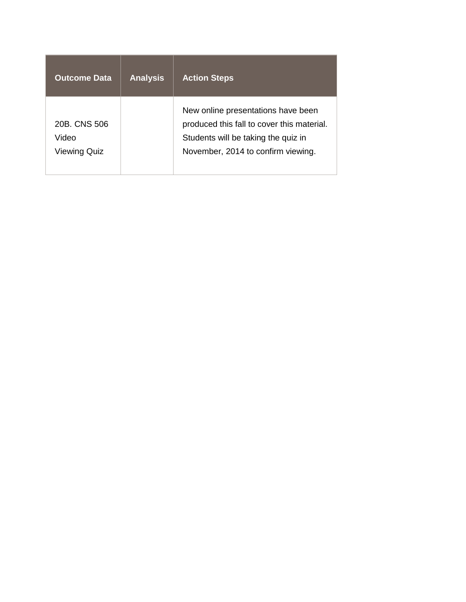| <b>Outcome Data</b>                   | <b>Analysis</b> | <b>Action Steps</b>                                                                                                                                           |
|---------------------------------------|-----------------|---------------------------------------------------------------------------------------------------------------------------------------------------------------|
| 20B. CNS 506<br>Video<br>Viewing Quiz |                 | New online presentations have been<br>produced this fall to cover this material.<br>Students will be taking the quiz in<br>November, 2014 to confirm viewing. |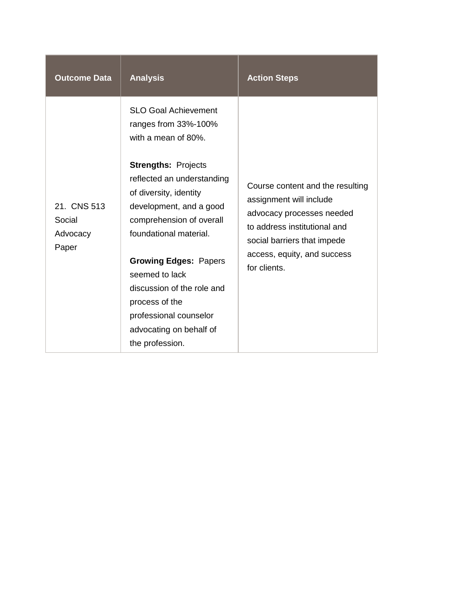| <b>Outcome Data</b>                        | <b>Analysis</b>                                                                                                                                                                                                                                                                                                                                                               | <b>Action Steps</b>                                                                                                                                                                                    |
|--------------------------------------------|-------------------------------------------------------------------------------------------------------------------------------------------------------------------------------------------------------------------------------------------------------------------------------------------------------------------------------------------------------------------------------|--------------------------------------------------------------------------------------------------------------------------------------------------------------------------------------------------------|
| 21. CNS 513<br>Social<br>Advocacy<br>Paper | <b>SLO Goal Achievement</b><br>ranges from 33%-100%<br>with a mean of 80%.<br><b>Strengths: Projects</b><br>reflected an understanding<br>of diversity, identity<br>development, and a good<br>comprehension of overall<br>foundational material.<br><b>Growing Edges: Papers</b><br>seemed to lack<br>discussion of the role and<br>process of the<br>professional counselor | Course content and the resulting<br>assignment will include<br>advocacy processes needed<br>to address institutional and<br>social barriers that impede<br>access, equity, and success<br>for clients. |
|                                            | advocating on behalf of<br>the profession.                                                                                                                                                                                                                                                                                                                                    |                                                                                                                                                                                                        |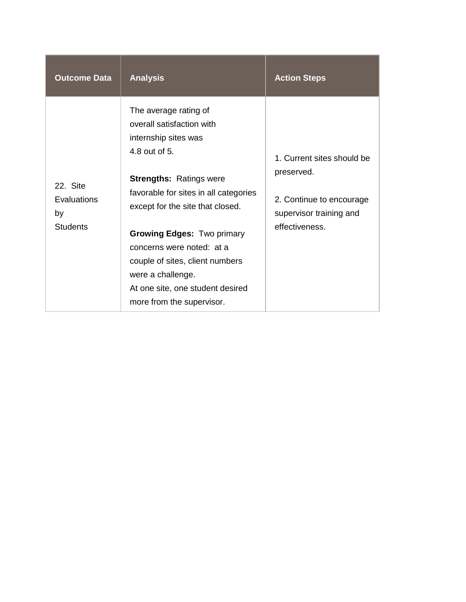| <b>Outcome Data</b>                              | <b>Analysis</b>                                                                                                                                                                                                                                                                                                                                                                                       | <b>Action Steps</b>                                                                                               |
|--------------------------------------------------|-------------------------------------------------------------------------------------------------------------------------------------------------------------------------------------------------------------------------------------------------------------------------------------------------------------------------------------------------------------------------------------------------------|-------------------------------------------------------------------------------------------------------------------|
| 22. Site<br>Evaluations<br>by<br><b>Students</b> | The average rating of<br>overall satisfaction with<br>internship sites was<br>4.8 out of 5.<br><b>Strengths: Ratings were</b><br>favorable for sites in all categories<br>except for the site that closed.<br><b>Growing Edges: Two primary</b><br>concerns were noted: at a<br>couple of sites, client numbers<br>were a challenge.<br>At one site, one student desired<br>more from the supervisor. | 1. Current sites should be<br>preserved.<br>2. Continue to encourage<br>supervisor training and<br>effectiveness. |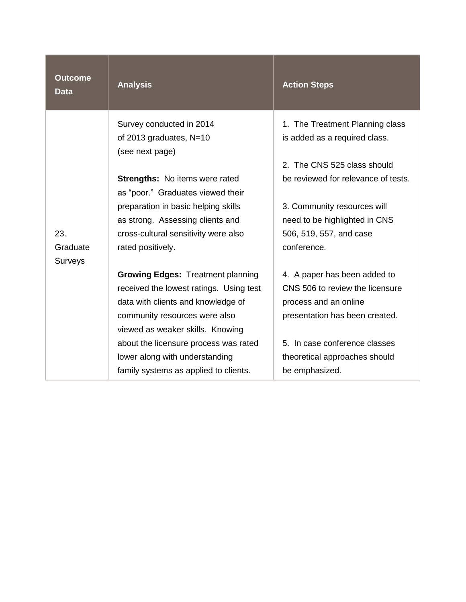| <b>Outcome</b><br><b>Data</b> | <b>Analysis</b>                                                         | <b>Action Steps</b>                                                |
|-------------------------------|-------------------------------------------------------------------------|--------------------------------------------------------------------|
|                               | Survey conducted in 2014<br>of 2013 graduates, N=10<br>(see next page)  | 1. The Treatment Planning class<br>is added as a required class.   |
|                               | Strengths: No items were rated<br>as "poor." Graduates viewed their     | 2. The CNS 525 class should<br>be reviewed for relevance of tests. |
|                               | preparation in basic helping skills<br>as strong. Assessing clients and | 3. Community resources will<br>need to be highlighted in CNS       |
| 23.<br>Graduate<br>Surveys    | cross-cultural sensitivity were also<br>rated positively.               | 506, 519, 557, and case<br>conference.                             |
|                               | <b>Growing Edges: Treatment planning</b>                                | 4. A paper has been added to                                       |
|                               | received the lowest ratings. Using test                                 | CNS 506 to review the licensure                                    |
|                               | data with clients and knowledge of                                      | process and an online                                              |
|                               | community resources were also                                           | presentation has been created.                                     |
|                               | viewed as weaker skills. Knowing                                        |                                                                    |
|                               | about the licensure process was rated                                   | 5. In case conference classes                                      |
|                               | lower along with understanding                                          | theoretical approaches should                                      |
|                               | family systems as applied to clients.                                   | be emphasized.                                                     |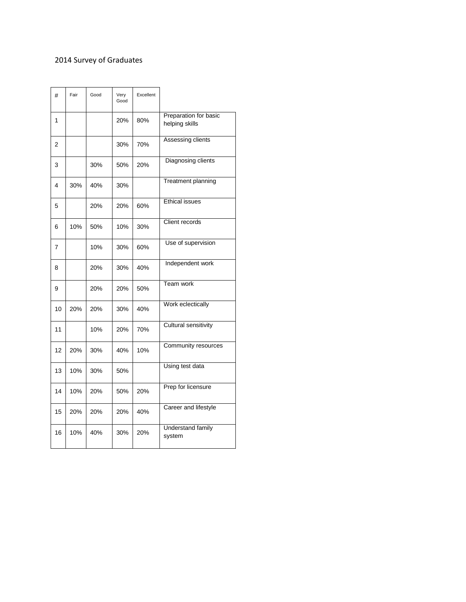#### 2014 Survey of Graduates

| #  | Fair | Good | Very<br>Good | Excellent |                                         |
|----|------|------|--------------|-----------|-----------------------------------------|
| 1  |      |      | 20%          | 80%       | Preparation for basic<br>helping skills |
| 2  |      |      | 30%          | 70%       | Assessing clients                       |
| 3  |      | 30%  | 50%          | 20%       | Diagnosing clients                      |
| 4  | 30%  | 40%  | 30%          |           | Treatment planning                      |
| 5  |      | 20%  | 20%          | 60%       | <b>Ethical issues</b>                   |
| 6  | 10%  | 50%  | 10%          | 30%       | Client records                          |
| 7  |      | 10%  | 30%          | 60%       | Use of supervision                      |
| 8  |      | 20%  | 30%          | 40%       | Independent work                        |
| 9  |      | 20%  | 20%          | 50%       | Team work                               |
| 10 | 20%  | 20%  | 30%          | 40%       | Work eclectically                       |
| 11 |      | 10%  | 20%          | 70%       | <b>Cultural sensitivity</b>             |
| 12 | 20%  | 30%  | 40%          | 10%       | Community resources                     |
| 13 | 10%  | 30%  | 50%          |           | Using test data                         |
| 14 | 10%  | 20%  | 50%          | 20%       | Prep for licensure                      |
| 15 | 20%  | 20%  | 20%          | 40%       | Career and lifestyle                    |
| 16 | 10%  | 40%  | 30%          | 20%       | <b>Understand family</b><br>system      |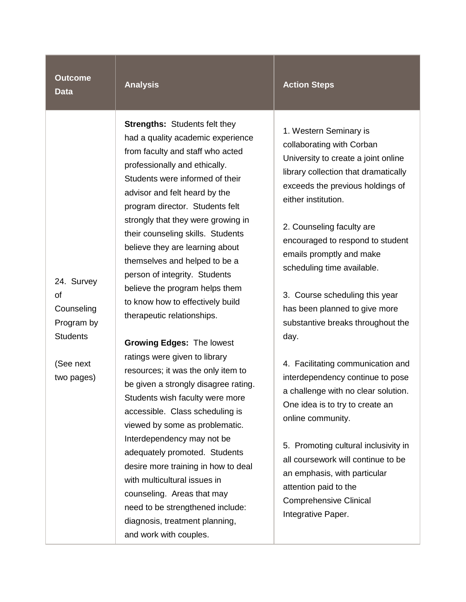#### **Outcome Data**

| Analys |  | SТ |
|--------|--|----|
|        |  |    |
|        |  |    |

**Strengths:** Students felt they had a quality academic experience from faculty and staff who acted professionally and ethically. Students were informed of their advisor and felt heard by the program director. Students felt strongly that they were growing in their counseling skills. Students believe they are learning about themselves and helped to be a person of integrity. Students believe the program helps them to know how to effectively build therapeutic relationships.

24. Survey of **Counseling** Program by **Students** 

(See next two pages) **Growing Edges:** The lowest ratings were given to library resources; it was the only item to be given a strongly disagree rating. Students wish faculty were more accessible. Class scheduling is viewed by some as problematic. Interdependency may not be adequately promoted. Students desire more training in how to deal with multicultural issues in counseling. Areas that may need to be strengthened include: diagnosis, treatment planning, and work with couples.

#### **Action Steps**

1. Western Seminary is collaborating with Corban University to create a joint online library collection that dramatically exceeds the previous holdings of either institution.

2. Counseling faculty are encouraged to respond to student emails promptly and make scheduling time available.

3. Course scheduling this year has been planned to give more substantive breaks throughout the day.

4. Facilitating communication and interdependency continue to pose a challenge with no clear solution. One idea is to try to create an online community.

5. Promoting cultural inclusivity in all coursework will continue to be an emphasis, with particular attention paid to the Comprehensive Clinical Integrative Paper.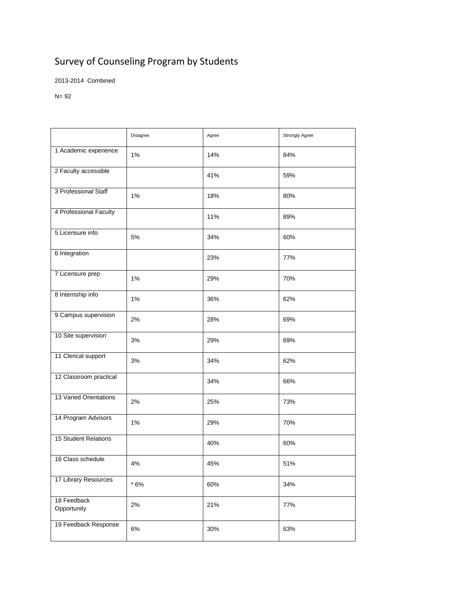## Survey of Counseling Program by Students

2013-2014 Combined

N= 92

|                            | Disagree | Agree | <b>Strongly Agree</b> |
|----------------------------|----------|-------|-----------------------|
| 1 Academic experience      | 1%       | 14%   | 84%                   |
| 2 Faculty accessible       |          | 41%   | 59%                   |
| 3 Professional Staff       | 1%       | 18%   | 80%                   |
| 4 Professional Faculty     |          | 11%   | 89%                   |
| 5 Licensure info           | 5%       | 34%   | 60%                   |
| 6 Integration              |          | 23%   | 77%                   |
| 7 Licensure prep           | 1%       | 29%   | 70%                   |
| 8 Internship info          | 1%       | 36%   | 62%                   |
| 9 Campus supervision       | 2%       | 28%   | 69%                   |
| 10 Site supervision        | 3%       | 29%   | 69%                   |
| 11 Clerical support        | 3%       | 34%   | 62%                   |
| 12 Classroom practical     |          | 34%   | 66%                   |
| 13 Varied Orientations     | 2%       | 25%   | 73%                   |
| 14 Program Advisors        | 1%       | 29%   | 70%                   |
| 15 Student Relations       |          | 40%   | 60%                   |
| 16 Class schedule          | 4%       | 45%   | 51%                   |
| 17 Library Resources       | $*6%$    | 60%   | 34%                   |
| 18 Feedback<br>Opportunity | 2%       | 21%   | 77%                   |
| 19 Feedback Response       | $6\%$    | 30%   | 63%                   |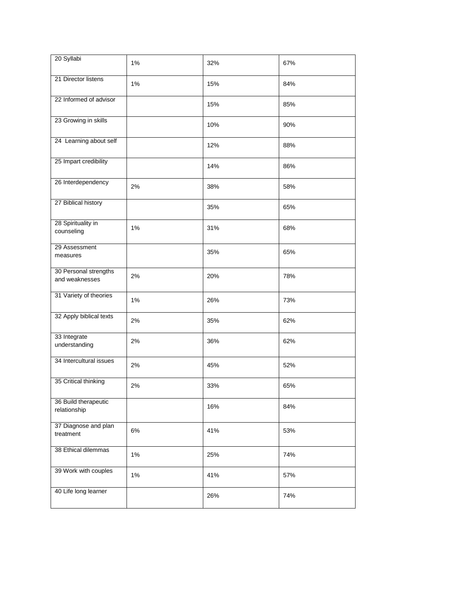| 20 Syllabi                              | 1%    | 32% | 67% |
|-----------------------------------------|-------|-----|-----|
| 21 Director listens                     | 1%    | 15% | 84% |
| 22 Informed of advisor                  |       | 15% | 85% |
| 23 Growing in skills                    |       | 10% | 90% |
| 24 Learning about self                  |       | 12% | 88% |
| 25 Impart credibility                   |       | 14% | 86% |
| 26 Interdependency                      | 2%    | 38% | 58% |
| 27 Biblical history                     |       | 35% | 65% |
| 28 Spirituality in<br>counseling        | 1%    | 31% | 68% |
| 29 Assessment<br>measures               |       | 35% | 65% |
| 30 Personal strengths<br>and weaknesses | 2%    | 20% | 78% |
| 31 Variety of theories                  | 1%    | 26% | 73% |
| 32 Apply biblical texts                 | 2%    | 35% | 62% |
| 33 Integrate<br>understanding           | 2%    | 36% | 62% |
| 34 Intercultural issues                 | 2%    | 45% | 52% |
| 35 Critical thinking                    | 2%    | 33% | 65% |
| 36 Build therapeutic<br>relationship    |       | 16% | 84% |
| 37 Diagnose and plan<br>treatment       | 6%    | 41% | 53% |
| 38 Ethical dilemmas                     | 1%    | 25% | 74% |
| 39 Work with couples                    | $1\%$ | 41% | 57% |
| 40 Life long learner                    |       | 26% | 74% |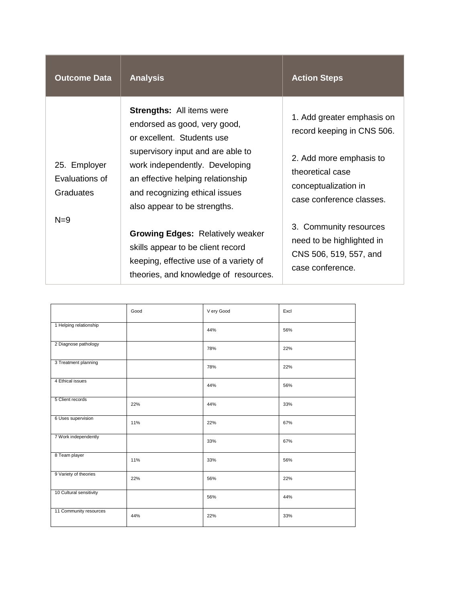| <b>Outcome Data</b>                         | <b>Analysis</b>                                                                                                                                                                                                                                                              | <b>Action Steps</b>                                                                                                                                         |
|---------------------------------------------|------------------------------------------------------------------------------------------------------------------------------------------------------------------------------------------------------------------------------------------------------------------------------|-------------------------------------------------------------------------------------------------------------------------------------------------------------|
| 25. Employer<br>Evaluations of<br>Graduates | <b>Strengths:</b> All items were<br>endorsed as good, very good,<br>or excellent. Students use<br>supervisory input and are able to<br>work independently. Developing<br>an effective helping relationship<br>and recognizing ethical issues<br>also appear to be strengths. | 1. Add greater emphasis on<br>record keeping in CNS 506.<br>2. Add more emphasis to<br>theoretical case<br>conceptualization in<br>case conference classes. |
| $N=9$                                       | <b>Growing Edges: Relatively weaker</b><br>skills appear to be client record<br>keeping, effective use of a variety of<br>theories, and knowledge of resources.                                                                                                              | 3. Community resources<br>need to be highlighted in<br>CNS 506, 519, 557, and<br>case conference.                                                           |

|                         | Good | V ery Good | Excl |
|-------------------------|------|------------|------|
| 1 Helping relationship  |      | 44%        | 56%  |
| 2 Diagnose pathology    |      | 78%        | 22%  |
| 3 Treatment planning    |      | 78%        | 22%  |
| 4 Ethical issues        |      | 44%        | 56%  |
| 5 Client records        | 22%  | 44%        | 33%  |
| 6 Uses supervision      | 11%  | 22%        | 67%  |
| 7 Work independently    |      | 33%        | 67%  |
| 8 Team player           | 11%  | 33%        | 56%  |
| 9 Variety of theories   | 22%  | 56%        | 22%  |
| 10 Cultural sensitivity |      | 56%        | 44%  |
| 11 Community resources  | 44%  | 22%        | 33%  |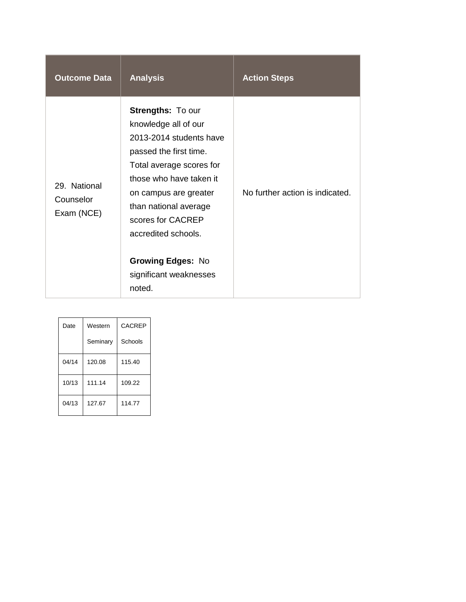| <b>Outcome Data</b>                     | <b>Analysis</b>                                                                                                                                                                                                                                                                                                            | <b>Action Steps</b>             |
|-----------------------------------------|----------------------------------------------------------------------------------------------------------------------------------------------------------------------------------------------------------------------------------------------------------------------------------------------------------------------------|---------------------------------|
| 29. National<br>Counselor<br>Exam (NCE) | <b>Strengths: To our</b><br>knowledge all of our<br>2013-2014 students have<br>passed the first time.<br>Total average scores for<br>those who have taken it<br>on campus are greater<br>than national average<br>scores for CACREP<br>accredited schools.<br><b>Growing Edges: No</b><br>significant weaknesses<br>noted. | No further action is indicated. |

| Date  | Western  | <b>CACREP</b> |
|-------|----------|---------------|
|       | Seminary | Schools       |
| 04/14 | 120.08   | 115.40        |
| 10/13 | 111.14   | 109.22        |
| 04/13 | 127.67   | 114.77        |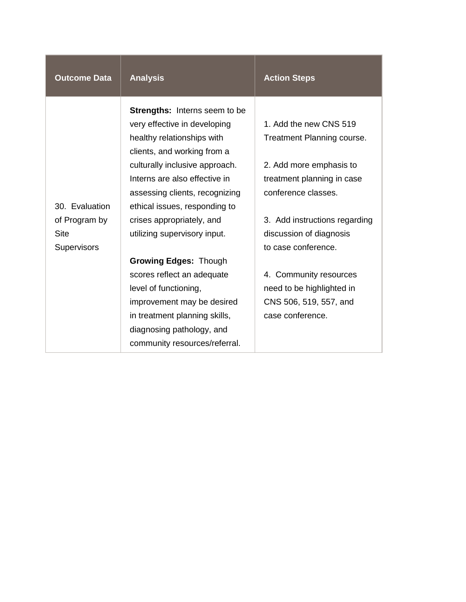| <b>Outcome Data</b>                                | <b>Analysis</b>                                                                                                                                                                                                  | <b>Action Steps</b>                                                                                           |
|----------------------------------------------------|------------------------------------------------------------------------------------------------------------------------------------------------------------------------------------------------------------------|---------------------------------------------------------------------------------------------------------------|
|                                                    | <b>Strengths:</b> Interns seem to be<br>very effective in developing<br>healthy relationships with<br>clients, and working from a<br>culturally inclusive approach.<br>Interns are also effective in             | 1. Add the new CNS 519<br>Treatment Planning course.<br>2. Add more emphasis to<br>treatment planning in case |
| 30. Evaluation                                     | assessing clients, recognizing<br>ethical issues, responding to                                                                                                                                                  | conference classes.                                                                                           |
| of Program by<br><b>Site</b><br><b>Supervisors</b> | crises appropriately, and<br>utilizing supervisory input.                                                                                                                                                        | 3. Add instructions regarding<br>discussion of diagnosis<br>to case conference.                               |
|                                                    | <b>Growing Edges: Though</b><br>scores reflect an adequate<br>level of functioning,<br>improvement may be desired<br>in treatment planning skills,<br>diagnosing pathology, and<br>community resources/referral. | 4. Community resources<br>need to be highlighted in<br>CNS 506, 519, 557, and<br>case conference.             |

T

m